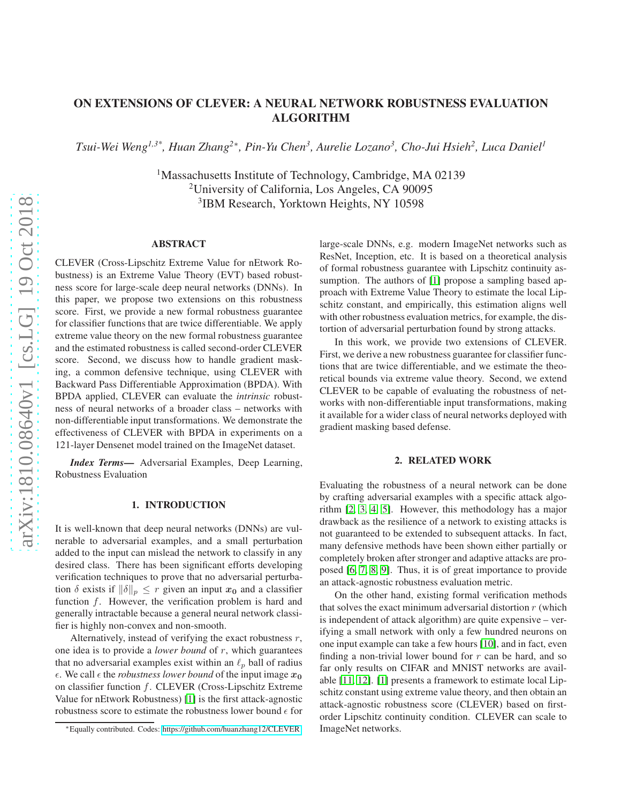# ON EXTENSIONS OF CLEVER: A NEURAL NETWORK ROBUSTNESS EVALUATION ALGORITHM

*Tsui-Wei Weng1,3\*, Huan Zhang<sup>2</sup>*<sup>∗</sup> *, Pin-Yu Chen<sup>3</sup> , Aurelie Lozano<sup>3</sup> , Cho-Jui Hsieh<sup>2</sup> , Luca Daniel<sup>1</sup>*

<sup>1</sup>Massachusetts Institute of Technology, Cambridge, MA 02139 <sup>2</sup>University of California, Los Angeles, CA 90095 3 IBM Research, Yorktown Heights, NY 10598

### ABSTRACT

CLEVER (Cross-Lipschitz Extreme Value for nEtwork Robustness) is an Extreme Value Theory (EVT) based robustness score for large-scale deep neural networks (DNNs). In this paper, we propose two extensions on this robustness score. First, we provide a new formal robustness guarantee for classifier functions that are twice differentiable. We apply extreme value theory on the new formal robustness guarantee and the estimated robustness is called second-order CLEVER score. Second, we discuss how to handle gradient masking, a common defensive technique, using CLEVER with Backward Pass Differentiable Approximation (BPDA). With BPDA applied, CLEVER can evaluate the *intrinsic* robustness of neural networks of a broader class – networks with non-differentiable input transformations. We demonstrate the effectiveness of CLEVER with BPDA in experiments on a 121-layer Densenet model trained on the ImageNet dataset.

*Index Terms*— Adversarial Examples, Deep Learning, Robustness Evaluation

# 1. INTRODUCTION

It is well-known that deep neural networks (DNNs) are vulnerable to adversarial examples, and a small perturbation added to the input can mislead the network to classify in any desired class. There has been significant efforts developing verification techniques to prove that no adversarial perturbation  $\delta$  exists if  $\|\delta\|_p \leq r$  given an input  $x_0$  and a classifier function f. However, the verification problem is hard and generally intractable because a general neural network classifier is highly non-convex and non-smooth.

Alternatively, instead of verifying the exact robustness  $r$ , one idea is to provide a *lower bound* of r, which guarantees that no adversarial examples exist within an  $\ell_p$  ball of radius  $\epsilon$ . We call  $\epsilon$  the *robustness lower bound* of the input image  $x_0$ on classifier function f. CLEVER (Cross-Lipschitz Extreme Value for nEtwork Robustness) [\[1\]](#page-4-0) is the first attack-agnostic robustness score to estimate the robustness lower bound  $\epsilon$  for large-scale DNNs, e.g. modern ImageNet networks such as ResNet, Inception, etc. It is based on a theoretical analysis of formal robustness guarantee with Lipschitz continuity as-sumption. The authors of [\[1\]](#page-4-0) propose a sampling based approach with Extreme Value Theory to estimate the local Lipschitz constant, and empirically, this estimation aligns well with other robustness evaluation metrics, for example, the distortion of adversarial perturbation found by strong attacks.

In this work, we provide two extensions of CLEVER. First, we derive a new robustness guarantee for classifier functions that are twice differentiable, and we estimate the theoretical bounds via extreme value theory. Second, we extend CLEVER to be capable of evaluating the robustness of networks with non-differentiable input transformations, making it available for a wider class of neural networks deployed with gradient masking based defense.

#### 2. RELATED WORK

Evaluating the robustness of a neural network can be done by crafting adversarial examples with a specific attack algorithm [\[2,](#page-4-1) [3,](#page-4-2) [4,](#page-4-3) [5\]](#page-4-4). However, this methodology has a major drawback as the resilience of a network to existing attacks is not guaranteed to be extended to subsequent attacks. In fact, many defensive methods have been shown either partially or completely broken after stronger and adaptive attacks are proposed [\[6,](#page-4-5) [7,](#page-4-6) [8,](#page-4-7) [9\]](#page-4-8). Thus, it is of great importance to provide an attack-agnostic robustness evaluation metric.

On the other hand, existing formal verification methods that solves the exact minimum adversarial distortion  $r$  (which is independent of attack algorithm) are quite expensive – verifying a small network with only a few hundred neurons on one input example can take a few hours [\[10\]](#page-4-9), and in fact, even finding a non-trivial lower bound for  $r$  can be hard, and so far only results on CIFAR and MNIST networks are available [\[11,](#page-4-10) [12\]](#page-4-11). [\[1\]](#page-4-0) presents a framework to estimate local Lipschitz constant using extreme value theory, and then obtain an attack-agnostic robustness score (CLEVER) based on firstorder Lipschitz continuity condition. CLEVER can scale to ImageNet networks.

<sup>∗</sup>Equally contributed. Codes: [https://github.com/huanzhang12/CLEVER.](https://github.com/huanzhang12/CLEVER)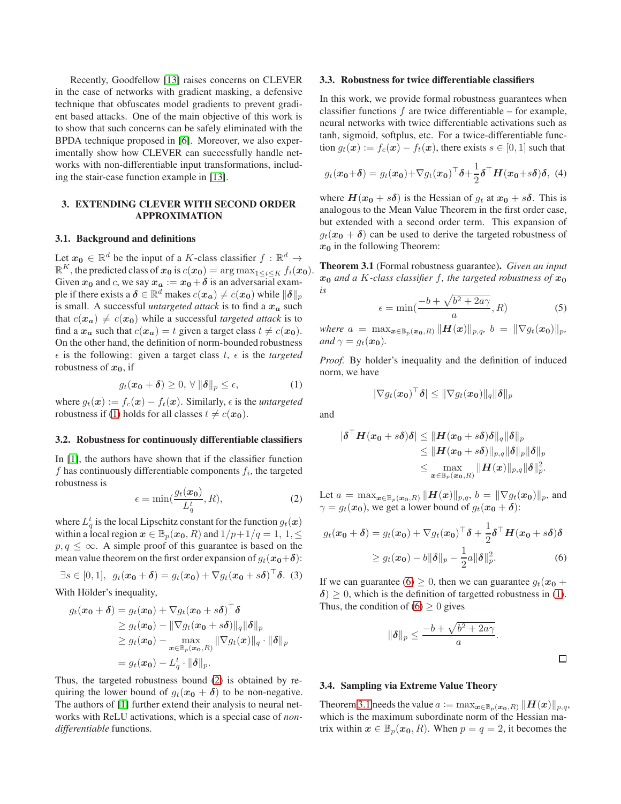Recently, Goodfellow [\[13\]](#page-4-12) raises concerns on CLEVER in the case of networks with gradient masking, a defensive technique that obfuscates model gradients to prevent gradient based attacks. One of the main objective of this work is to show that such concerns can be safely eliminated with the BPDA technique proposed in [\[6\]](#page-4-5). Moreover, we also experimentally show how CLEVER can successfully handle networks with non-differentiable input transformations, including the stair-case function example in [\[13\]](#page-4-12).

# 3. EXTENDING CLEVER WITH SECOND ORDER APPROXIMATION

# 3.1. Background and definitions

Let  $x_0 \in \mathbb{R}^d$  be the input of a K-class classifier  $f : \mathbb{R}^d \to$  $\mathbb{R}^K$ , the predicted class of  $\mathbf{x_0}$  is  $c(\mathbf{x_0}) = \argmax_{1 \leq i \leq K} f_i(\mathbf{x_0}).$ Given  $x_0$  and c, we say  $x_a := x_0 + \delta$  is an adversarial example if there exists a  $\boldsymbol{\delta} \in \mathbb{R}^d$  makes  $c(\boldsymbol{x_a}) \neq c(\boldsymbol{x_0})$  while  $\|\boldsymbol{\delta}\|_p$ is small. A successful *untargeted attack* is to find a  $x_a$  such that  $c(\mathbf{x}_a) \neq c(\mathbf{x}_0)$  while a successful *targeted attack* is to find a  $x_a$  such that  $c(x_a) = t$  given a target class  $t \neq c(x_0)$ . On the other hand, the definition of norm-bounded robustness  $\epsilon$  is the following: given a target class t,  $\epsilon$  is the targeted robustness of  $x_0$ , if

<span id="page-1-0"></span>
$$
g_t(\mathbf{x_0} + \boldsymbol{\delta}) \ge 0, \forall \|\boldsymbol{\delta}\|_p \le \epsilon,
$$
 (1)

where  $g_t(\mathbf{x}) := f_c(\mathbf{x}) - f_t(\mathbf{x})$ . Similarly,  $\epsilon$  is the *untargeted* robustness if [\(1\)](#page-1-0) holds for all classes  $t \neq c(\mathbf{x_0})$ .

#### 3.2. Robustness for continuously differentiable classifiers

In [\[1\]](#page-4-0), the authors have shown that if the classifier function  $f$  has continuously differentiable components  $f_i$ , the targeted robustness is

<span id="page-1-1"></span>
$$
\epsilon = \min(\frac{g_t(x_0)}{L_q^t}, R),\tag{2}
$$

where  $L_q^t$  is the local Lipschitz constant for the function  $g_t(\boldsymbol{x})$ within a local region  $x \in \mathbb{B}_p(x_0, R)$  and  $1/p+1/q=1, 1, \leq$  $p, q \leq \infty$ . A simple proof of this guarantee is based on the mean value theorem on the first order expansion of  $g_t(x_0+\delta)$ :

$$
\exists s \in [0,1], \ g_t(\boldsymbol{x_0} + \boldsymbol{\delta}) = g_t(\boldsymbol{x_0}) + \nabla g_t(\boldsymbol{x_0} + s\boldsymbol{\delta})^\top \boldsymbol{\delta}.
$$
 (3)

With Hölder's inequality,

$$
g_t(\boldsymbol{x_0} + \boldsymbol{\delta}) = g_t(\boldsymbol{x_0}) + \nabla g_t(\boldsymbol{x_0} + s\boldsymbol{\delta})^\top \boldsymbol{\delta}
$$
  
\n
$$
\geq g_t(\boldsymbol{x_0}) - \|\nabla g_t(\boldsymbol{x_0} + s\boldsymbol{\delta})\|_q \|\boldsymbol{\delta}\|_p
$$
  
\n
$$
\geq g_t(\boldsymbol{x_0}) - \max_{\boldsymbol{x} \in \mathbb{B}_p(\boldsymbol{x_0}, R)} \|\nabla g_t(\boldsymbol{x})\|_q \cdot \|\boldsymbol{\delta}\|_p
$$
  
\n
$$
= g_t(\boldsymbol{x_0}) - L_q^t \cdot \|\boldsymbol{\delta}\|_p.
$$

Thus, the targeted robustness bound [\(2\)](#page-1-1) is obtained by requiring the lower bound of  $g_t(x_0 + \delta)$  to be non-negative. The authors of [\[1\]](#page-4-0) further extend their analysis to neural networks with ReLU activations, which is a special case of *nondifferentiable* functions.

#### 3.3. Robustness for twice differentiable classifiers

In this work, we provide formal robustness guarantees when classifier functions  $f$  are twice differentiable – for example, neural networks with twice differentiable activations such as tanh, sigmoid, softplus, etc. For a twice-differentiable function  $g_t(\mathbf{x}) := f_c(\mathbf{x}) - f_t(\mathbf{x})$ , there exists  $s \in [0, 1]$  such that

$$
g_t(\boldsymbol{x_0} + \boldsymbol{\delta}) = g_t(\boldsymbol{x_0}) + \nabla g_t(\boldsymbol{x_0})^\top \boldsymbol{\delta} + \frac{1}{2} \boldsymbol{\delta}^\top \boldsymbol{H}(\boldsymbol{x_0} + s\boldsymbol{\delta})\boldsymbol{\delta}, \tag{4}
$$

where  $H(x_0 + s\delta)$  is the Hessian of  $g_t$  at  $x_0 + s\delta$ . This is analogous to the Mean Value Theorem in the first order case, but extended with a second order term. This expansion of  $g_t(x_0 + \delta)$  can be used to derive the targeted robustness of  $x_0$  in the following Theorem:

<span id="page-1-3"></span>Theorem 3.1 (Formal robustness guarantee). *Given an input*  $x_0$  *and a* K-class classifier f, the targeted robustness of  $x_0$ *is*

<span id="page-1-4"></span>
$$
\epsilon = \min(\frac{-b + \sqrt{b^2 + 2a\gamma}}{a}, R) \tag{5}
$$

*where*  $a = \max_{\bm{x} \in \mathbb{B}_p(\bm{x_0},R)} \|\bm{H}(\bm{x})\|_{p,q}, \, b = \|\nabla g_t(\bm{x_0})\|_p,$ *and*  $\gamma = g_t(x_0)$ *.* 

*Proof.* By holder's inequality and the definition of induced norm, we have

$$
|\nabla g_t(\boldsymbol{x_0})^{\top}\boldsymbol{\delta}| \leq \|\nabla g_t(\boldsymbol{x_0})\|_q \|\boldsymbol{\delta}\|_p
$$

and

$$
\begin{aligned} |\boldsymbol{\delta}^\top \boldsymbol{H}(\boldsymbol{x_0}+s\boldsymbol{\delta})\boldsymbol{\delta}|&\leq \|\boldsymbol{H}(\boldsymbol{x_0}+s\boldsymbol{\delta})\boldsymbol{\delta}\|_q \|\boldsymbol{\delta}\|_p\\ &\leq \|\boldsymbol{H}(\boldsymbol{x_0}+s\boldsymbol{\delta})\|_{p,q} \|\boldsymbol{\delta}\|_p \|\boldsymbol{\delta}\|_p\\ &\leq \max_{\boldsymbol{x}\in\mathbb{B}_p(\boldsymbol{x_0},R)} \|\boldsymbol{H}(\boldsymbol{x})\|_{p,q} \|\boldsymbol{\delta}\|_p^2. \end{aligned}
$$

Let  $a = \max_{\boldsymbol{x} \in \mathbb{B}_p(\boldsymbol{x_0},R)} \|\boldsymbol{H}(\boldsymbol{x})\|_{p,q}, \, b = \|\nabla g_t(\boldsymbol{x_0})\|_p$ , and  $\gamma = g_t(\mathbf{x_0})$ , we get a lower bound of  $g_t(\mathbf{x_0} + \delta)$ :

$$
g_t(\boldsymbol{x_0} + \boldsymbol{\delta}) = g_t(\boldsymbol{x_0}) + \nabla g_t(\boldsymbol{x_0})^\top \boldsymbol{\delta} + \frac{1}{2} \boldsymbol{\delta}^\top \boldsymbol{H}(\boldsymbol{x_0} + s\boldsymbol{\delta})\boldsymbol{\delta}
$$

$$
\geq g_t(\boldsymbol{x_0}) - b\|\boldsymbol{\delta}\|_p - \frac{1}{2}a\|\boldsymbol{\delta}\|_p^2. \tag{6}
$$

If we can guarantee [\(6\)](#page-1-2)  $\geq$  0, then we can guarantee  $g_t(x_0 +$  $\delta$ )  $\geq$  0, which is the definition of targetted robustness in [\(1\)](#page-1-0). Thus, the condition of  $(6) \ge 0$  gives

$$
\|\boldsymbol{\delta}\|_p \le \frac{-b + \sqrt{b^2 + 2a\gamma}}{a}.
$$

<span id="page-1-2"></span> $\Box$ 

## <span id="page-1-5"></span>3.4. Sampling via Extreme Value Theory

Theorem [3.1](#page-1-3) needs the value  $a := \max_{\boldsymbol{x} \in \mathbb{B}_n(\boldsymbol{x}_0, R)} \|\boldsymbol{H}(\boldsymbol{x})\|_{p,q}$ , which is the maximum subordinate norm of the Hessian matrix within  $x \in \mathbb{B}_p(x_0, R)$ . When  $p = q = 2$ , it becomes the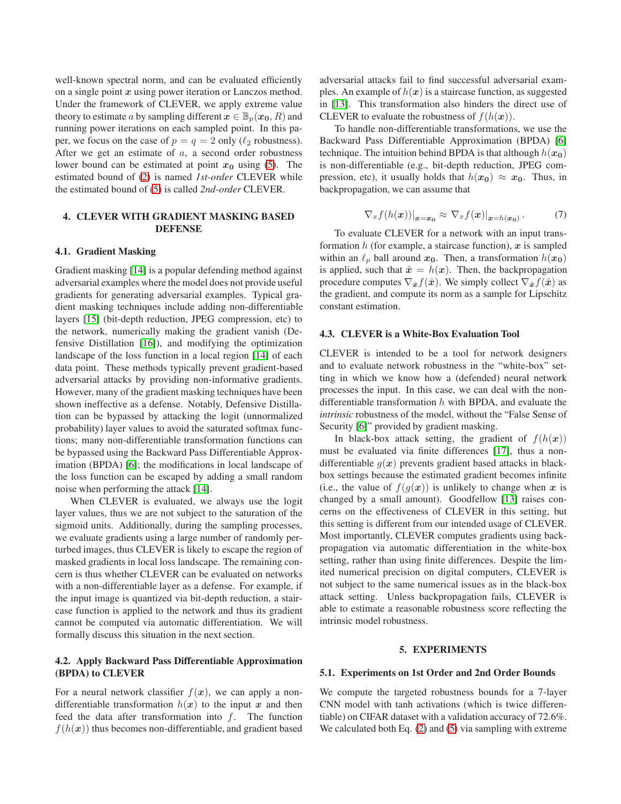well-known spectral norm, and can be evaluated efficiently on a single point  $x$  using power iteration or Lanczos method. Under the framework of CLEVER, we apply extreme value theory to estimate a by sampling different  $x \in \mathbb{B}_p(x_0, R)$  and running power iterations on each sampled point. In this paper, we focus on the case of  $p = q = 2$  only ( $\ell_2$  robustness). After we get an estimate of  $a$ , a second order robustness lower bound can be estimated at point  $x_0$  using [\(5\)](#page-1-4). The estimated bound of [\(2\)](#page-1-1) is named *1st-order* CLEVER while the estimated bound of [\(5\)](#page-1-4) is called *2nd-order* CLEVER.

# 4. CLEVER WITH GRADIENT MASKING BASED DEFENSE

### 4.1. Gradient Masking

Gradient masking [\[14\]](#page-4-13) is a popular defending method against adversarial examples where the model does not provide useful gradients for generating adversarial examples. Typical gradient masking techniques include adding non-differentiable layers [\[15\]](#page-4-14) (bit-depth reduction, JPEG compression, etc) to the network, numerically making the gradient vanish (Defensive Distillation [\[16\]](#page-4-15)), and modifying the optimization landscape of the loss function in a local region [\[14\]](#page-4-13) of each data point. These methods typically prevent gradient-based adversarial attacks by providing non-informative gradients. However, many of the gradient masking techniques have been shown ineffective as a defense. Notably, Defensive Distillation can be bypassed by attacking the logit (unnormalized probability) layer values to avoid the saturated softmax functions; many non-differentiable transformation functions can be bypassed using the Backward Pass Differentiable Approximation (BPDA) [\[6\]](#page-4-5); the modifications in local landscape of the loss function can be escaped by adding a small random noise when performing the attack [\[14\]](#page-4-13).

When CLEVER is evaluated, we always use the logit layer values, thus we are not subject to the saturation of the sigmoid units. Additionally, during the sampling processes, we evaluate gradients using a large number of randomly perturbed images, thus CLEVER is likely to escape the region of masked gradients in local loss landscape. The remaining concern is thus whether CLEVER can be evaluated on networks with a non-differentiable layer as a defense. For example, if the input image is quantized via bit-depth reduction, a staircase function is applied to the network and thus its gradient cannot be computed via automatic differentiation. We will formally discuss this situation in the next section.

# 4.2. Apply Backward Pass Differentiable Approximation (BPDA) to CLEVER

For a neural network classifier  $f(x)$ , we can apply a nondifferentiable transformation  $h(x)$  to the input x and then feed the data after transformation into  $f$ . The function  $f(h(\boldsymbol{x}))$  thus becomes non-differentiable, and gradient based

adversarial attacks fail to find successful adversarial examples. An example of  $h(x)$  is a staircase function, as suggested in [\[13\]](#page-4-12). This transformation also hinders the direct use of CLEVER to evaluate the robustness of  $f(h(\boldsymbol{x}))$ .

To handle non-differentiable transformations, we use the Backward Pass Differentiable Approximation (BPDA) [\[6\]](#page-4-5) technique. The intuition behind BPDA is that although  $h(x_0)$ is non-differentiable (e.g., bit-depth reduction, JPEG compression, etc), it usually holds that  $h(x_0) \approx x_0$ . Thus, in backpropagation, we can assume that

$$
\nabla_x f(h(\boldsymbol{x}))|_{\boldsymbol{x}=\boldsymbol{x_0}} \approx \nabla_x f(\boldsymbol{x})|_{\boldsymbol{x}=h(\boldsymbol{x_0})}.
$$
 (7)

To evaluate CLEVER for a network with an input transformation  $h$  (for example, a staircase function),  $x$  is sampled within an  $\ell_p$  ball around  $x_0$ . Then, a transformation  $h(x_0)$ is applied, such that  $\hat{x} = h(x)$ . Then, the backpropagation procedure computes  $\nabla_{\hat{x}} f(\hat{x})$ . We simply collect  $\nabla_{\hat{x}} f(\hat{x})$  as the gradient, and compute its norm as a sample for Lipschitz constant estimation.

# 4.3. CLEVER is a White-Box Evaluation Tool

CLEVER is intended to be a tool for network designers and to evaluate network robustness in the "white-box" setting in which we know how a (defended) neural network processes the input. In this case, we can deal with the nondifferentiable transformation  $h$  with BPDA, and evaluate the *intrinsic* robustness of the model, without the "False Sense of Security [\[6\]](#page-4-5)" provided by gradient masking.

In black-box attack setting, the gradient of  $f(h(x))$ must be evaluated via finite differences [\[17\]](#page-4-16), thus a nondifferentiable  $g(x)$  prevents gradient based attacks in blackbox settings because the estimated gradient becomes infinite (i.e., the value of  $f(g(x))$  is unlikely to change when x is changed by a small amount). Goodfellow [\[13\]](#page-4-12) raises concerns on the effectiveness of CLEVER in this setting, but this setting is different from our intended usage of CLEVER. Most importantly, CLEVER computes gradients using backpropagation via automatic differentiation in the white-box setting, rather than using finite differences. Despite the limited numerical precision on digital computers, CLEVER is not subject to the same numerical issues as in the black-box attack setting. Unless backpropagation fails, CLEVER is able to estimate a reasonable robustness score reflecting the intrinsic model robustness.

#### 5. EXPERIMENTS

#### 5.1. Experiments on 1st Order and 2nd Order Bounds

We compute the targeted robustness bounds for a 7-layer CNN model with tanh activations (which is twice differentiable) on CIFAR dataset with a validation accuracy of 72.6%. We calculated both Eq. [\(2\)](#page-1-1) and [\(5\)](#page-1-4) via sampling with extreme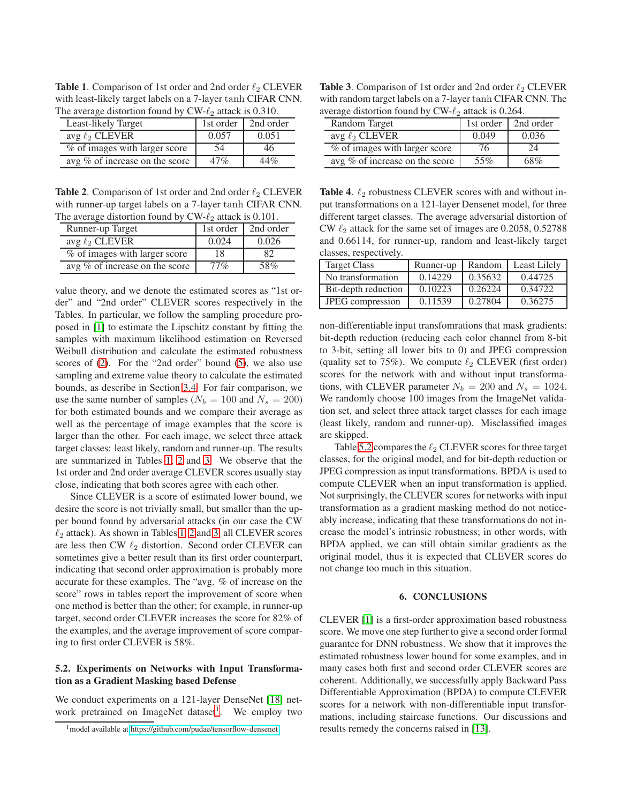<span id="page-3-0"></span>**Table 1.** Comparison of 1st order and 2nd order  $\ell_2$  CLEVER with least-likely target labels on a 7-layer tanh CIFAR CNN. The average distortion found by  $CW-\ell_2$  attack is 0.310.

| Least-likely Target            | 1st order | 2nd order |
|--------------------------------|-----------|-----------|
| avg $\ell_2$ CLEVER            | 0.057     | 0.051     |
| % of images with larger score  | 54        | 46        |
| avg % of increase on the score | 47%       | 44%       |

<span id="page-3-1"></span>**Table 2.** Comparison of 1st order and 2nd order  $\ell_2$  CLEVER with runner-up target labels on a 7-layer tanh CIFAR CNN. The average distortion found by  $CW-\ell_2$  attack is 0.101.

| The average distortion round $\sigma_{\ell}$ or $\sigma_{\ell}$ and is $\sigma_{\ell}$ for $\sigma_{\ell}$ |           |           |  |
|------------------------------------------------------------------------------------------------------------|-----------|-----------|--|
| Runner-up Target                                                                                           | 1st order | 2nd order |  |
| avg $\ell_2$ CLEVER                                                                                        | 0.024     | 0.026     |  |
| % of images with larger score                                                                              | 18        | 82        |  |
| avg % of increase on the score                                                                             | $77\%$    | 58%       |  |

value theory, and we denote the estimated scores as "1st order" and "2nd order" CLEVER scores respectively in the Tables. In particular, we follow the sampling procedure proposed in [\[1\]](#page-4-0) to estimate the Lipschitz constant by fitting the samples with maximum likelihood estimation on Reversed Weibull distribution and calculate the estimated robustness scores of [\(2\)](#page-1-1). For the "2nd order" bound [\(5\)](#page-1-4), we also use sampling and extreme value theory to calculate the estimated bounds, as describe in Section [3.4.](#page-1-5) For fair comparison, we use the same number of samples ( $N_b = 100$  and  $N_s = 200$ ) for both estimated bounds and we compare their average as well as the percentage of image examples that the score is larger than the other. For each image, we select three attack target classes: least likely, random and runner-up. The results are summarized in Tables [1,](#page-3-0) [2](#page-3-1) and [3.](#page-3-2) We observe that the 1st order and 2nd order average CLEVER scores usually stay close, indicating that both scores agree with each other.

Since CLEVER is a score of estimated lower bound, we desire the score is not trivially small, but smaller than the upper bound found by adversarial attacks (in our case the CW  $\ell_2$  attack). As shown in Tables [1,](#page-3-0) [2](#page-3-1) and [3,](#page-3-2) all CLEVER scores are less then CW  $\ell_2$  distortion. Second order CLEVER can sometimes give a better result than its first order counterpart, indicating that second order approximation is probably more accurate for these examples. The "avg. % of increase on the score" rows in tables report the improvement of score when one method is better than the other; for example, in runner-up target, second order CLEVER increases the score for 82% of the examples, and the average improvement of score comparing to first order CLEVER is 58%.

# <span id="page-3-4"></span>5.2. Experiments on Networks with Input Transformation as a Gradient Masking based Defense

We conduct experiments on a 121-layer DenseNet [\[18\]](#page-4-17) net-work pretrained on ImageNet dataset<sup>[1](#page-3-3)</sup>. We employ two

<span id="page-3-2"></span>**Table 3.** Comparison of 1st order and 2nd order  $\ell_2$  CLEVER with random target labels on a 7-layer  $\tanh$  CIFAR CNN. The average distortion found by  $CW-\ell_2$  attack is 0.264.

| Random Target                  | 1st order | 2nd order |
|--------------------------------|-----------|-----------|
| avg $\ell_2$ CLEVER            | 0.049     | 0.036     |
| % of images with larger score  | /6        |           |
| avg % of increase on the score | 55%       | 68%       |

**Table 4.**  $\ell_2$  robustness CLEVER scores with and without input transformations on a 121-layer Densenet model, for three different target classes. The average adversarial distortion of CW  $\ell_2$  attack for the same set of images are 0.2058, 0.52788 and 0.66114, for runner-up, random and least-likely target classes, respectively.

| <b>Target Class</b> | Runner-up | Random  | <b>Least Lilely</b> |
|---------------------|-----------|---------|---------------------|
| No transformation   | 0.14229   | 0.35632 | 0.44725             |
| Bit-depth reduction | 0.10223   | 0.26224 | 0.34722             |
| JPEG compression    | 0.11539   | 0.27804 | 0.36275             |

non-differentiable input transfomrations that mask gradients: bit-depth reduction (reducing each color channel from 8-bit to 3-bit, setting all lower bits to 0) and JPEG compression (quality set to 75%). We compute  $\ell_2$  CLEVER (first order) scores for the network with and without input transformations, with CLEVER parameter  $N_b = 200$  and  $N_s = 1024$ . We randomly choose 100 images from the ImageNet validation set, and select three attack target classes for each image (least likely, random and runner-up). Misclassified images are skipped.

Table [5.2](#page-3-4) compares the  $\ell_2$  CLEVER scores for three target classes, for the original model, and for bit-depth reduction or JPEG compression as input transformations. BPDA is used to compute CLEVER when an input transformation is applied. Not surprisingly, the CLEVER scores for networks with input transformation as a gradient masking method do not noticeably increase, indicating that these transformations do not increase the model's intrinsic robustness; in other words, with BPDA applied, we can still obtain similar gradients as the original model, thus it is expected that CLEVER scores do not change too much in this situation.

# 6. CONCLUSIONS

CLEVER [\[1\]](#page-4-0) is a first-order approximation based robustness score. We move one step further to give a second order formal guarantee for DNN robustness. We show that it improves the estimated robustness lower bound for some examples, and in many cases both first and second order CLEVER scores are coherent. Additionally, we successfully apply Backward Pass Differentiable Approximation (BPDA) to compute CLEVER scores for a network with non-differentiable input transformations, including staircase functions. Our discussions and results remedy the concerns raised in [\[13\]](#page-4-12).

<span id="page-3-3"></span><sup>&</sup>lt;sup>1</sup> model available at<https://github.com/pudae/tensorflow-densenet>